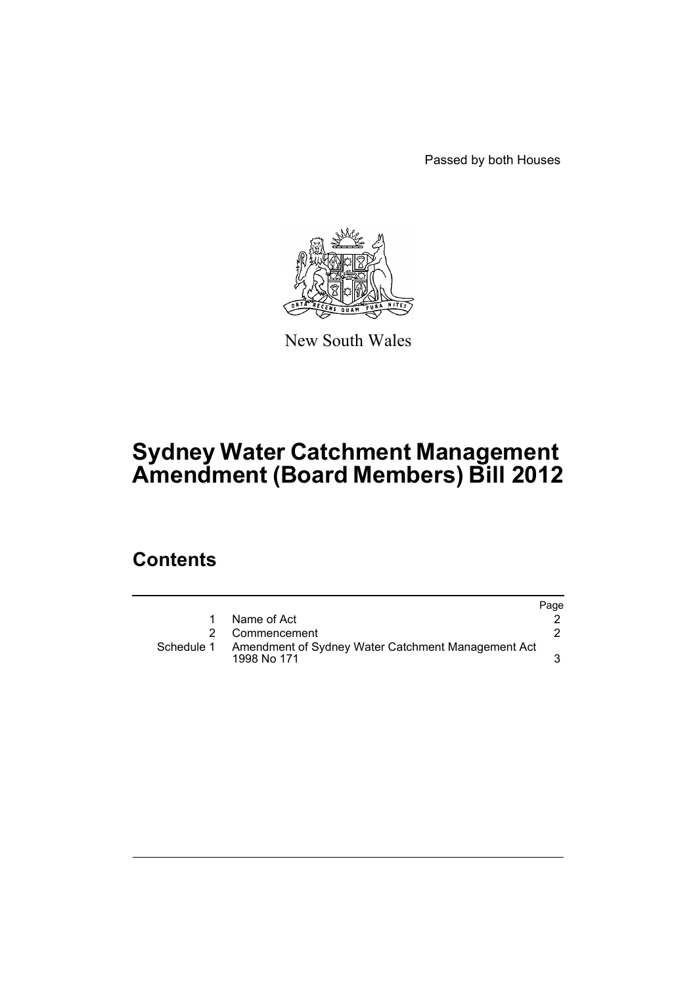Passed by both Houses



New South Wales

# **Sydney Water Catchment Management Amendment (Board Members) Bill 2012**

## **Contents**

|            |                                                                   | Page |
|------------|-------------------------------------------------------------------|------|
| 1.         | Name of Act                                                       |      |
|            | 2 Commencement                                                    |      |
| Schedule 1 | Amendment of Sydney Water Catchment Management Act<br>1998 No 171 |      |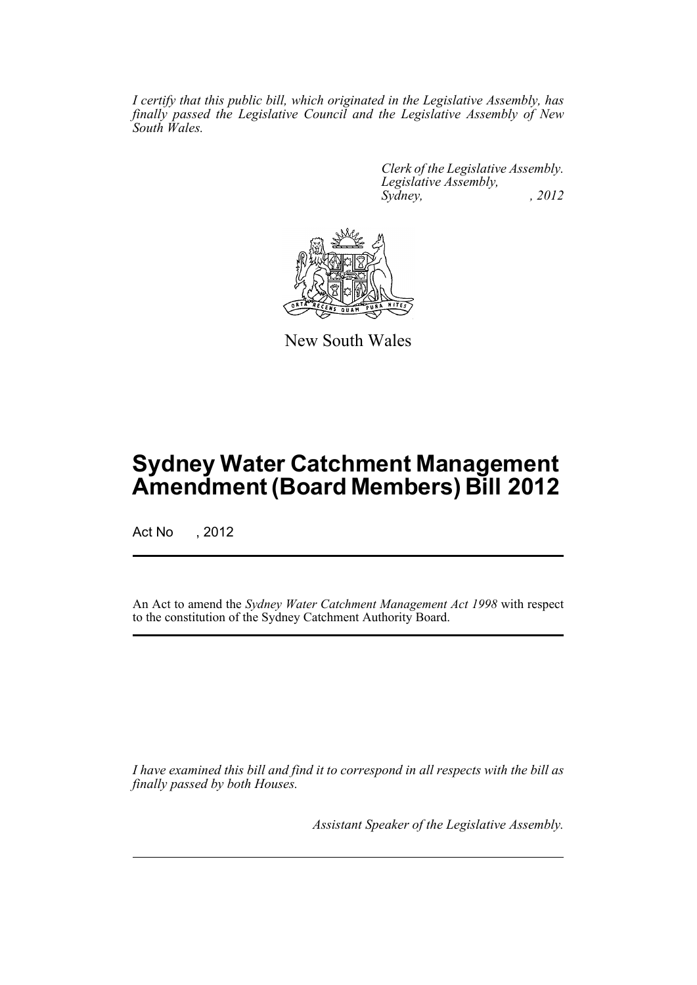*I certify that this public bill, which originated in the Legislative Assembly, has finally passed the Legislative Council and the Legislative Assembly of New South Wales.*

> *Clerk of the Legislative Assembly. Legislative Assembly, Sydney, , 2012*



New South Wales

## **Sydney Water Catchment Management Amendment (Board Members) Bill 2012**

Act No , 2012

An Act to amend the *Sydney Water Catchment Management Act 1998* with respect to the constitution of the Sydney Catchment Authority Board.

*I have examined this bill and find it to correspond in all respects with the bill as finally passed by both Houses.*

*Assistant Speaker of the Legislative Assembly.*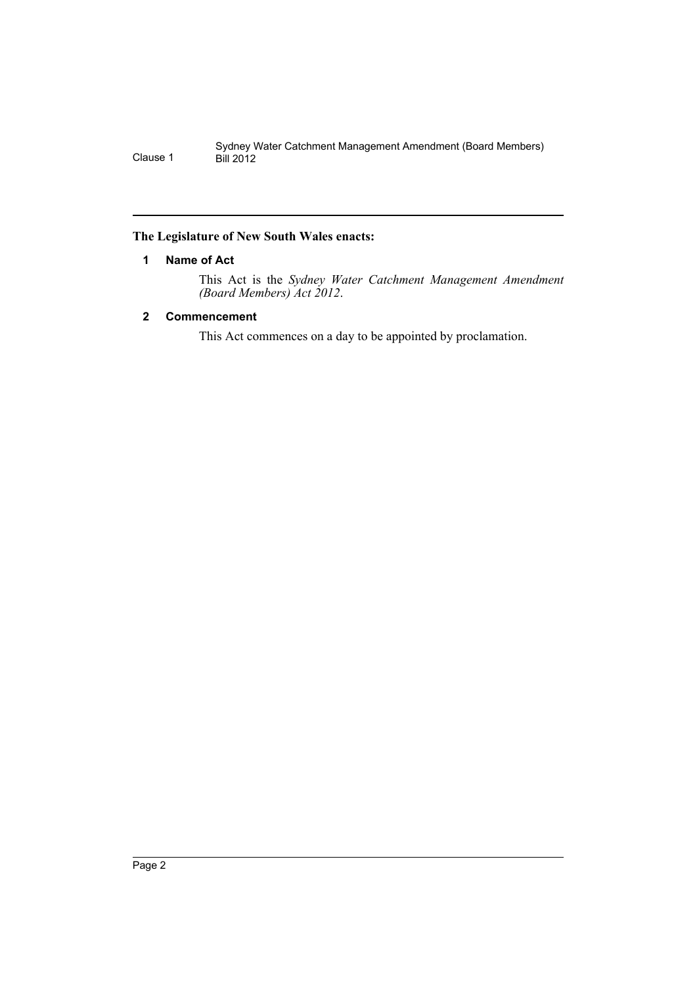#### <span id="page-3-0"></span>**The Legislature of New South Wales enacts:**

#### **1 Name of Act**

This Act is the *Sydney Water Catchment Management Amendment (Board Members) Act 2012*.

#### <span id="page-3-1"></span>**2 Commencement**

This Act commences on a day to be appointed by proclamation.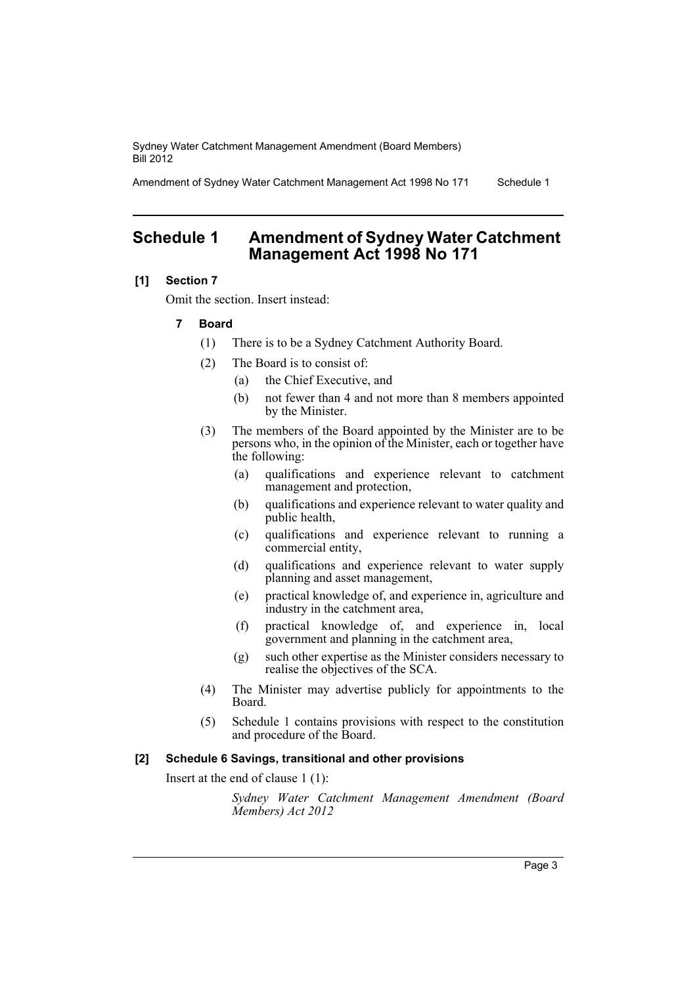Sydney Water Catchment Management Amendment (Board Members) Bill 2012

Amendment of Sydney Water Catchment Management Act 1998 No 171 Schedule 1

### <span id="page-4-0"></span>**Schedule 1 Amendment of Sydney Water Catchment Management Act 1998 No 171**

#### **[1] Section 7**

Omit the section. Insert instead:

#### **7 Board**

- (1) There is to be a Sydney Catchment Authority Board.
- (2) The Board is to consist of:
	- (a) the Chief Executive, and
	- (b) not fewer than 4 and not more than 8 members appointed by the Minister.
- (3) The members of the Board appointed by the Minister are to be persons who, in the opinion of the Minister, each or together have the following:
	- (a) qualifications and experience relevant to catchment management and protection,
	- (b) qualifications and experience relevant to water quality and public health,
	- (c) qualifications and experience relevant to running a commercial entity,
	- (d) qualifications and experience relevant to water supply planning and asset management,
	- (e) practical knowledge of, and experience in, agriculture and industry in the catchment area,
	- (f) practical knowledge of, and experience in, local government and planning in the catchment area,
	- (g) such other expertise as the Minister considers necessary to realise the objectives of the SCA.
- (4) The Minister may advertise publicly for appointments to the Board.
- (5) Schedule 1 contains provisions with respect to the constitution and procedure of the Board.

#### **[2] Schedule 6 Savings, transitional and other provisions**

Insert at the end of clause 1 (1):

*Sydney Water Catchment Management Amendment (Board Members) Act 2012*